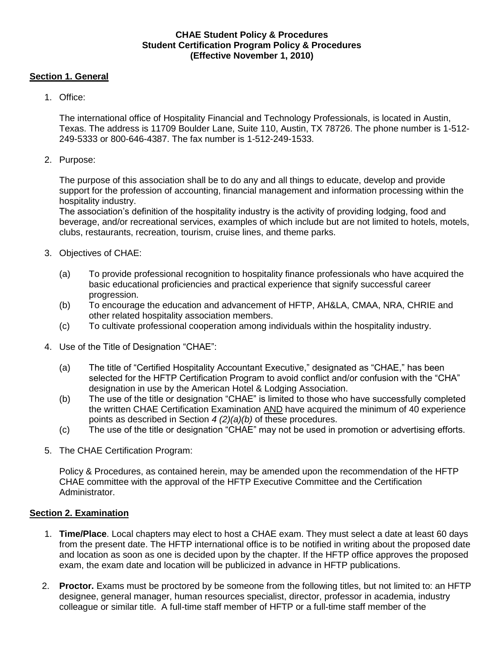### **CHAE Student Policy & Procedures Student Certification Program Policy & Procedures (Effective November 1, 2010)**

### **Section 1. General**

1. Office:

The international office of Hospitality Financial and Technology Professionals, is located in Austin, Texas. The address is 11709 Boulder Lane, Suite 110, Austin, TX 78726. The phone number is 1-512- 249-5333 or 800-646-4387. The fax number is 1-512-249-1533.

2. Purpose:

The purpose of this association shall be to do any and all things to educate, develop and provide support for the profession of accounting, financial management and information processing within the hospitality industry.

The association's definition of the hospitality industry is the activity of providing lodging, food and beverage, and/or recreational services, examples of which include but are not limited to hotels, motels, clubs, restaurants, recreation, tourism, cruise lines, and theme parks.

- 3. Objectives of CHAE:
	- (a) To provide professional recognition to hospitality finance professionals who have acquired the basic educational proficiencies and practical experience that signify successful career progression.
	- (b) To encourage the education and advancement of HFTP, AH&LA, CMAA, NRA, CHRIE and other related hospitality association members.
	- (c) To cultivate professional cooperation among individuals within the hospitality industry.
- 4. Use of the Title of Designation "CHAE":
	- (a) The title of "Certified Hospitality Accountant Executive," designated as "CHAE," has been selected for the HFTP Certification Program to avoid conflict and/or confusion with the "CHA" designation in use by the American Hotel & Lodging Association.
	- (b) The use of the title or designation "CHAE" is limited to those who have successfully completed the written CHAE Certification Examination AND have acquired the minimum of 40 experience points as described in Section *4 (2)(a)(b)* of these procedures.
	- (c) The use of the title or designation "CHAE" may not be used in promotion or advertising efforts.
- 5. The CHAE Certification Program:

Policy & Procedures, as contained herein, may be amended upon the recommendation of the HFTP CHAE committee with the approval of the HFTP Executive Committee and the Certification Administrator.

### **Section 2. Examination**

- 1. **Time/Place**. Local chapters may elect to host a CHAE exam. They must select a date at least 60 days from the present date. The HFTP international office is to be notified in writing about the proposed date and location as soon as one is decided upon by the chapter. If the HFTP office approves the proposed exam, the exam date and location will be publicized in advance in HFTP publications.
- 2. **Proctor.** Exams must be proctored by be someone from the following titles, but not limited to: an HFTP designee, general manager, human resources specialist, director, professor in academia, industry colleague or similar title. A full-time staff member of HFTP or a full-time staff member of the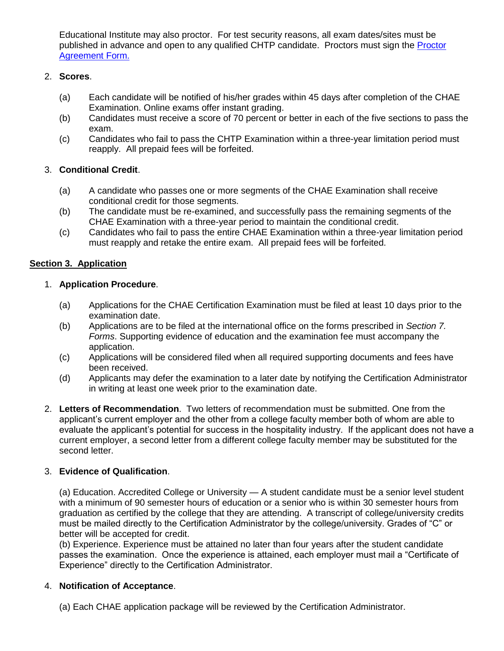Educational Institute may also proctor. For test security reasons, all exam dates/sites must be published in advance and open to any qualified CHTP candidate. Proctors must sign the [Proctor](http://www.hftp.org/Content/Forms/Certification/ProctorForm.pdf)  [Agreement Form.](http://www.hftp.org/Content/Forms/Certification/ProctorForm.pdf)

## 2. **Scores**.

- (a) Each candidate will be notified of his/her grades within 45 days after completion of the CHAE Examination. Online exams offer instant grading.
- (b) Candidates must receive a score of 70 percent or better in each of the five sections to pass the exam.
- (c) Candidates who fail to pass the CHTP Examination within a three-year limitation period must reapply. All prepaid fees will be forfeited.

## 3. **Conditional Credit**.

- (a) A candidate who passes one or more segments of the CHAE Examination shall receive conditional credit for those segments.
- (b) The candidate must be re-examined, and successfully pass the remaining segments of the CHAE Examination with a three-year period to maintain the conditional credit.
- (c) Candidates who fail to pass the entire CHAE Examination within a three-year limitation period must reapply and retake the entire exam. All prepaid fees will be forfeited.

## **Section 3. Application**

### 1. **Application Procedure**.

- (a) Applications for the CHAE Certification Examination must be filed at least 10 days prior to the examination date.
- (b) Applications are to be filed at the international office on the forms prescribed in *Section 7. Forms*. Supporting evidence of education and the examination fee must accompany the application.
- (c) Applications will be considered filed when all required supporting documents and fees have been received.
- (d) Applicants may defer the examination to a later date by notifying the Certification Administrator in writing at least one week prior to the examination date.
- 2. **Letters of Recommendation**. Two letters of recommendation must be submitted. One from the applicant's current employer and the other from a college faculty member both of whom are able to evaluate the applicant's potential for success in the hospitality industry. If the applicant does not have a current employer, a second letter from a different college faculty member may be substituted for the second letter.

### 3. **Evidence of Qualification**.

(a) Education. Accredited College or University — A student candidate must be a senior level student with a minimum of 90 semester hours of education or a senior who is within 30 semester hours from graduation as certified by the college that they are attending. A transcript of college/university credits must be mailed directly to the Certification Administrator by the college/university. Grades of "C" or better will be accepted for credit.

(b) Experience. Experience must be attained no later than four years after the student candidate passes the examination. Once the experience is attained, each employer must mail a "Certificate of Experience" directly to the Certification Administrator.

### 4. **Notification of Acceptance**.

(a) Each CHAE application package will be reviewed by the Certification Administrator.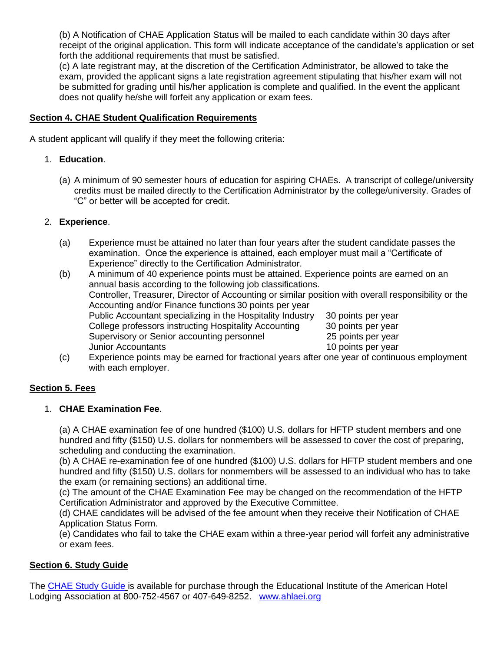(b) A Notification of CHAE Application Status will be mailed to each candidate within 30 days after receipt of the original application. This form will indicate acceptance of the candidate's application or set forth the additional requirements that must be satisfied.

(c) A late registrant may, at the discretion of the Certification Administrator, be allowed to take the exam, provided the applicant signs a late registration agreement stipulating that his/her exam will not be submitted for grading until his/her application is complete and qualified. In the event the applicant does not qualify he/she will forfeit any application or exam fees.

## **Section 4. CHAE Student Qualification Requirements**

A student applicant will qualify if they meet the following criteria:

## 1. **Education**.

(a) A minimum of 90 semester hours of education for aspiring CHAEs. A transcript of college/university credits must be mailed directly to the Certification Administrator by the college/university. Grades of "C" or better will be accepted for credit.

# 2. **Experience**.

- (a) Experience must be attained no later than four years after the student candidate passes the examination. Once the experience is attained, each employer must mail a "Certificate of Experience" directly to the Certification Administrator.
- (b) A minimum of 40 experience points must be attained. Experience points are earned on an annual basis according to the following job classifications. Controller, Treasurer, Director of Accounting or similar position with overall responsibility or the Accounting and/or Finance functions 30 points per year Public Accountant specializing in the Hospitality Industry 30 points per year College professors instructing Hospitality Accounting 30 points per year Supervisory or Senior accounting personnel 25 points per year Junior Accountants 10 points per year
- (c) Experience points may be earned for fractional years after one year of continuous employment with each employer.

# **Section 5. Fees**

## 1. **CHAE Examination Fee**.

(a) A CHAE examination fee of one hundred (\$100) U.S. dollars for HFTP student members and one hundred and fifty (\$150) U.S. dollars for nonmembers will be assessed to cover the cost of preparing, scheduling and conducting the examination.

(b) A CHAE re-examination fee of one hundred (\$100) U.S. dollars for HFTP student members and one hundred and fifty (\$150) U.S. dollars for nonmembers will be assessed to an individual who has to take the exam (or remaining sections) an additional time.

(c) The amount of the CHAE Examination Fee may be changed on the recommendation of the HFTP Certification Administrator and approved by the Executive Committee.

(d) CHAE candidates will be advised of the fee amount when they receive their Notification of CHAE Application Status Form.

(e) Candidates who fail to take the CHAE exam within a three-year period will forfeit any administrative or exam fees.

## **Section 6. Study Guide**

The [CHAE Study Guide](http://www.hftp.org/Pages/Certification/CHAE/CHAEStudyGuide.aspx) is available for purchase through the Educational Institute of the American Hotel Lodging Association at 800-752-4567 or 407-649-8252. [www.ahlaei.org](http://www.ahlaei.org/)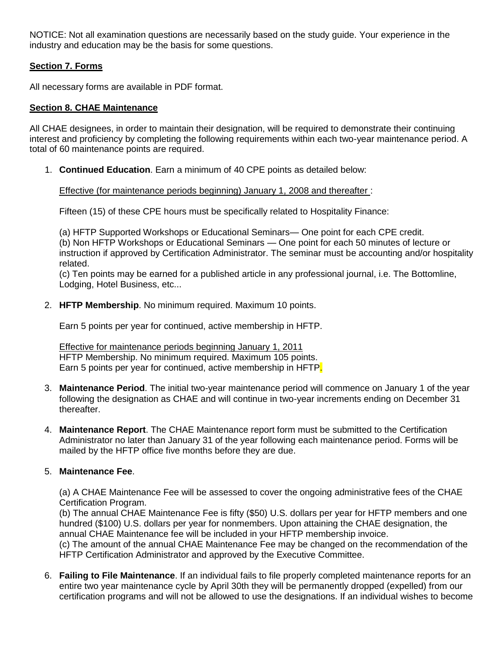NOTICE: Not all examination questions are necessarily based on the study guide. Your experience in the industry and education may be the basis for some questions.

## **Section 7. Forms**

All necessary forms are available in PDF format.

### **Section 8. CHAE Maintenance**

All CHAE designees, in order to maintain their designation, will be required to demonstrate their continuing interest and proficiency by completing the following requirements within each two-year maintenance period. A total of 60 maintenance points are required.

1. **Continued Education**. Earn a minimum of 40 CPE points as detailed below:

#### Effective (for maintenance periods beginning) January 1, 2008 and thereafter :

Fifteen (15) of these CPE hours must be specifically related to Hospitality Finance:

(a) HFTP Supported Workshops or Educational Seminars— One point for each CPE credit. (b) Non HFTP Workshops or Educational Seminars — One point for each 50 minutes of lecture or instruction if approved by Certification Administrator. The seminar must be accounting and/or hospitality related.

(c) Ten points may be earned for a published article in any professional journal, i.e. The Bottomline, Lodging, Hotel Business, etc...

2. **HFTP Membership**. No minimum required. Maximum 10 points.

Earn 5 points per year for continued, active membership in HFTP.

Effective for maintenance periods beginning January 1, 2011 HFTP Membership. No minimum required. Maximum 105 points. Earn 5 points per year for continued, active membership in HFTP.

- 3. **Maintenance Period**. The initial two-year maintenance period will commence on January 1 of the year following the designation as CHAE and will continue in two-year increments ending on December 31 thereafter.
- 4. **Maintenance Report**. The CHAE Maintenance report form must be submitted to the Certification Administrator no later than January 31 of the year following each maintenance period. Forms will be mailed by the HFTP office five months before they are due.

### 5. **Maintenance Fee**.

(a) A CHAE Maintenance Fee will be assessed to cover the ongoing administrative fees of the CHAE Certification Program.

(b) The annual CHAE Maintenance Fee is fifty (\$50) U.S. dollars per year for HFTP members and one hundred (\$100) U.S. dollars per year for nonmembers. Upon attaining the CHAE designation, the annual CHAE Maintenance fee will be included in your HFTP membership invoice.

(c) The amount of the annual CHAE Maintenance Fee may be changed on the recommendation of the HFTP Certification Administrator and approved by the Executive Committee.

6. **Failing to File Maintenance**. If an individual fails to file properly completed maintenance reports for an entire two year maintenance cycle by April 30th they will be permanently dropped (expelled) from our certification programs and will not be allowed to use the designations. If an individual wishes to become